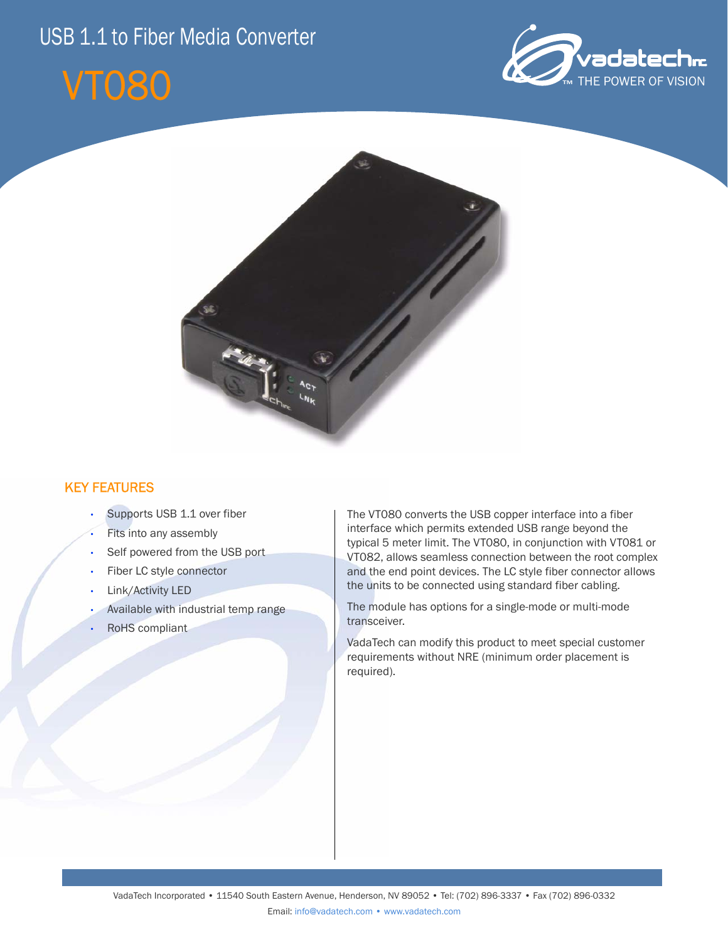# USB 1.1 to Fiber Media Converter







## KEY FEATURES

- Supports USB 1.1 over fiber
- Fits into any assembly
- Self powered from the USB port
- Fiber LC style connector
- Link/Activity LED
- Available with industrial temp range
- RoHS compliant

The VT080 converts the USB copper interface into a fiber interface which permits extended USB range beyond the typical 5 meter limit. The VT080, in conjunction with VT081 or VT082, allows seamless connection between the root complex and the end point devices. The LC style fiber connector allows the units to be connected using standard fiber cabling.

The module has options for a single-mode or multi-mode transceiver.

VadaTech can modify this product to meet special customer requirements without NRE (minimum order placement is required).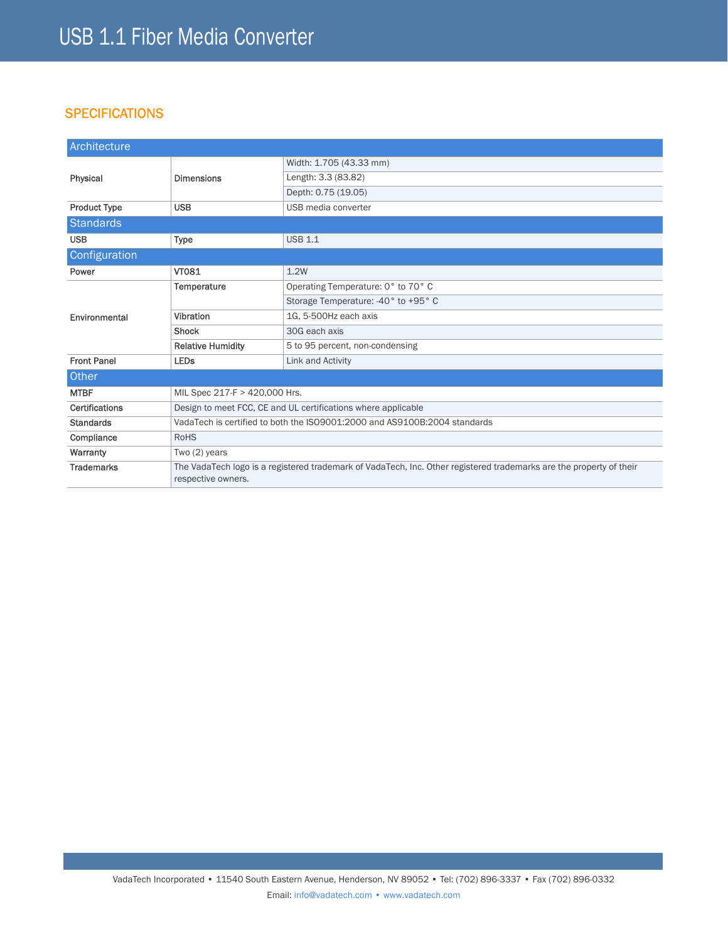### **SPECIFICATIONS**

| Architecture          |                                                                                                                                           |                                     |
|-----------------------|-------------------------------------------------------------------------------------------------------------------------------------------|-------------------------------------|
| Physical              | <b>Dimensions</b>                                                                                                                         | Width: 1.705 (43.33 mm)             |
|                       |                                                                                                                                           | Length: 3.3 (83.82)                 |
|                       |                                                                                                                                           | Depth: 0.75 (19.05)                 |
| <b>Product Type</b>   | <b>USB</b>                                                                                                                                | USB media converter                 |
| <b>Standards</b>      |                                                                                                                                           |                                     |
| <b>USB</b>            | <b>Type</b>                                                                                                                               | <b>USB 1.1</b>                      |
| Configuration         |                                                                                                                                           |                                     |
| Power                 | <b>VT081</b>                                                                                                                              | 1.2W                                |
| Environmental         | Temperature                                                                                                                               | Operating Temperature: 0° to 70° C  |
|                       |                                                                                                                                           | Storage Temperature: -40° to +95° C |
|                       | Vibration                                                                                                                                 | 1G, 5-500Hz each axis               |
|                       | Shock                                                                                                                                     | 30G each axis                       |
|                       | <b>Relative Humidity</b>                                                                                                                  | 5 to 95 percent, non-condensing     |
| <b>Front Panel</b>    | <b>LEDs</b>                                                                                                                               | Link and Activity                   |
| Other                 |                                                                                                                                           |                                     |
| <b>MTBF</b>           | MIL Spec 217-F > 420,000 Hrs.                                                                                                             |                                     |
| <b>Certifications</b> | Design to meet FCC, CE and UL certifications where applicable                                                                             |                                     |
| <b>Standards</b>      | VadaTech is certified to both the ISO9001:2000 and AS9100B:2004 standards                                                                 |                                     |
| Compliance            | <b>RoHS</b>                                                                                                                               |                                     |
| Warranty              | Two (2) years                                                                                                                             |                                     |
| <b>Trademarks</b>     | The VadaTech logo is a registered trademark of VadaTech, Inc. Other registered trademarks are the property of their<br>respective owners. |                                     |